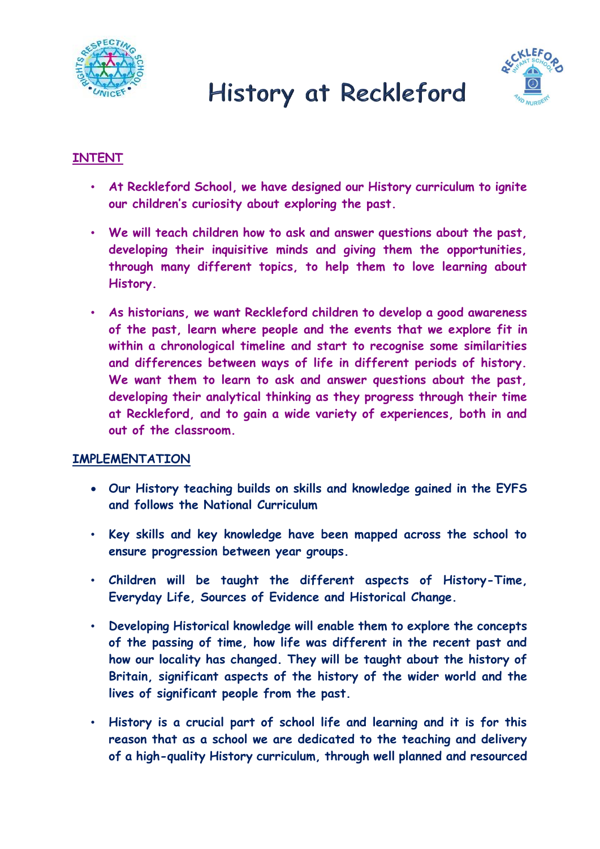

# History at Reckleford



### **INTENT**

- **At Reckleford School, we have designed our History curriculum to ignite our children's curiosity about exploring the past.**
- **We will teach children how to ask and answer questions about the past, developing their inquisitive minds and giving them the opportunities, through many different topics, to help them to love learning about History.**
- **As historians, we want Reckleford children to develop a good awareness of the past, learn where people and the events that we explore fit in within a chronological timeline and start to recognise some similarities and differences between ways of life in different periods of history. We want them to learn to ask and answer questions about the past, developing their analytical thinking as they progress through their time at Reckleford, and to gain a wide variety of experiences, both in and out of the classroom.**

#### **IMPLEMENTATION**

- **Our History teaching builds on skills and knowledge gained in the EYFS and follows the National Curriculum**
- **Key skills and key knowledge have been mapped across the school to ensure progression between year groups.**
- **Children will be taught the different aspects of History-Time, Everyday Life, Sources of Evidence and Historical Change.**
- **Developing Historical knowledge will enable them to explore the concepts of the passing of time, how life was different in the recent past and how our locality has changed. They will be taught about the history of Britain, significant aspects of the history of the wider world and the lives of significant people from the past.**
- **History is a crucial part of school life and learning and it is for this reason that as a school we are dedicated to the teaching and delivery of a high-quality History curriculum, through well planned and resourced**